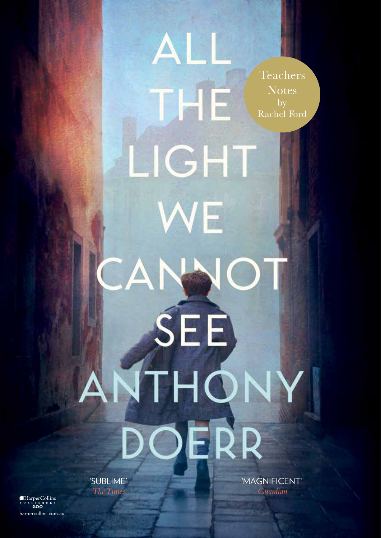Teachers **Notes** by Rachel Ford

LIGH WE CANNO SEE ANTHONY OERR

ALI

THE

'SUBLIME' *The Times*

HarperCollins<br>PUBLISHERS<br>**200** harpercollins.com.au 'MAGNIFICENT' *Guardian*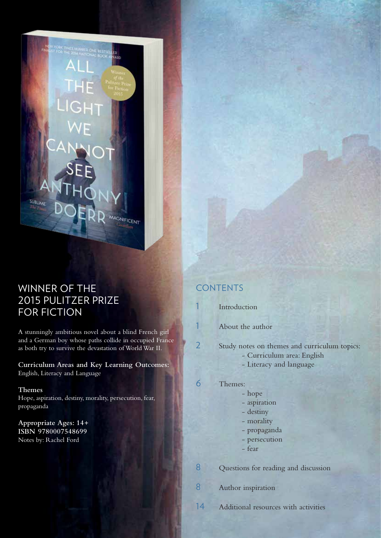WINNER OF THE 2015 PULITZER PRIZE FOR FICTION

SUBLIME

A stunningly ambitious novel about a blind French girl and a German boy whose paths collide in occupied France as both try to survive the devastation of World War II.

MAGNIFICENT

**Curriculum Areas and Key Learning Outcomes:** English, Literacy and Language

**Themes** Hope, aspiration, destiny, morality, persecution, fear, propaganda

**Appropriate Ages: 14+ ISBN 9780007548699** Notes by: Rachel Ford

## **CONTENTS**

**[Introduction](#page-2-0)** 

[About the author](#page-2-0)

2 [Study notes on themes and curriculum topics:](#page-3-0)

- Curriculum area: English
	- Literacy and language

### 6 [Themes:](#page-7-0)

- hope
- aspiration
- destiny
- morality
- propaganda
- persecution
- fear

8 [Questions for reading and discussion](#page-9-0)

8 [Author inspiration](#page-9-0)

14 [Additional resources with activities](#page-15-0)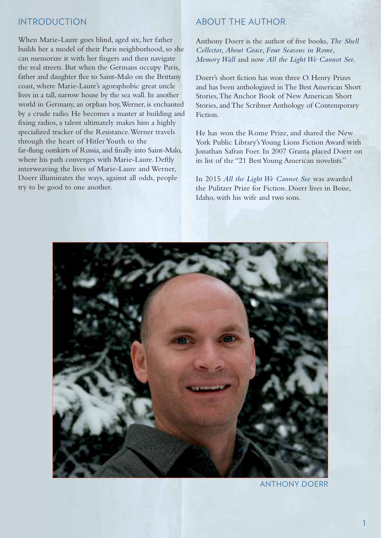## <span id="page-2-0"></span>INTRODUCTION

When Marie-Laure goes blind, aged six, her father builds her a model of their Paris neighborhood, so she can memorize it with her fingers and then navigate the real streets. But when the Germans occupy Paris, father and daughter flee to Saint-Malo on the Brittany coast, where Marie-Laure's agoraphobic great uncle lives in a tall, narrow house by the sea wall. In another world in Germany, an orphan boy, Werner, is enchanted by a crude radio. He becomes a master at building and fixing radios, a talent ultimately makes him a highly specialized tracker of the Resistance. Werner travels through the heart of Hitler Youth to the far-flung outskirts of Russia, and finally into Saint-Malo, where his path converges with Marie-Laure. Deftly interweaving the lives of Marie-Laure and Werner, Doerr illuminates the ways, against all odds, people try to be good to one another.

## ABOUT THE AUTHOR

[Anthony Doerr i](http://www.harpercollins.com.au/cr-100973/anthony-doerr/#sm.001bf30jj1ci5fdxv8m1tykszxb1n)s the author of five books, *The Shell Collector*, *About Grace*, *Four Seasons in Rome*, *Memory Wall* and now *[All the Light We Cannot See](http://www.harpercollins.com.au/9780007548699/#sm.001bf30jj1ci5fdxv8m1tykszxb1n)*.

Doerr's short fiction has won three O. Henry Prizes and has been anthologized in The Best American Short Stories, The Anchor Book of New American Short Stories, and The Scribner Anthology of Contemporary Fiction.

He has won the Rome Prize, and shared the New York Public Library's Young Lions Fiction Award with Jonathan Safran Foer. In 2007 Granta placed Doerr on its list of the "21 Best Young American novelists."

In 2015 *All the Light We Cannot See* was awarded the Pulitzer Prize for Fiction. Doerr lives in Boise, Idaho, with his wife and two sons.



[ANTHONY DOERR](http://www.harpercollins.com.au/cr-100973/anthony-doerr/#sm.001bf30jj1ci5fdxv8m1tykszxb1n)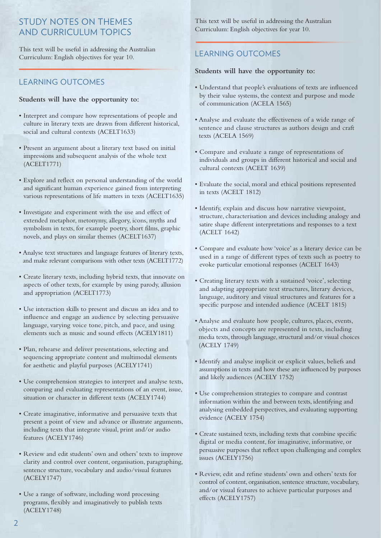## <span id="page-3-0"></span>STUDY NOTES ON THEMES AND CURRICULUM TOPICS

This text will be useful in addressing the Australian Curriculum: English objectives for year 10.

## LEARNING OUTCOMES

#### **Students will have the opportunity to:**

- Interpret and compare how representations of people and culture in literary texts are drawn from different historical, social and cultural contexts (ACELT1633)
- Present an argument about a literary text based on initial impressions and subsequent analysis of the whole text (ACELT1771)
- Explore and reflect on personal understanding of the world and significant human experience gained from interpreting various representations of life matters in texts (ACELT1635)
- Investigate and experiment with the use and effect of extended metaphor, metonymy, allegory, icons, myths and symbolism in texts, for example poetry, short films, graphic novels, and plays on similar themes (ACELT1637)
- Analyse text structures and language features of literary texts, and make relevant comparisons with other texts (ACELT1772)
- Create literary texts, including hybrid texts, that innovate on aspects of other texts, for example by using parody, allusion and appropriation (ACELT1773)
- Use interaction skills to present and discuss an idea and to influence and engage an audience by selecting persuasive language, varying voice tone, pitch, and pace, and using elements such as music and sound effects (ACELY1811)
- Plan, rehearse and deliver presentations, selecting and sequencing appropriate content and multimodal elements for aesthetic and playful purposes (ACELY1741)
- Use comprehension strategies to interpret and analyse texts, comparing and evaluating representations of an event, issue, situation or character in different texts (ACELY1744)
- Create imaginative, informative and persuasive texts that present a point of view and advance or illustrate arguments, including texts that integrate visual, print and/or audio features (ACELY1746)
- Review and edit students' own and others' texts to improve clarity and control over content, organisation, paragraphing, sentence structure, vocabulary and audio/visual features (ACELY1747)
- Use a range of software, including word processing programs, flexibly and imaginatively to publish texts (ACELY1748)

This text will be useful in addressing the Australian Curriculum: English objectives for year 10.

## LEARNING OUTCOMES

#### **Students will have the opportunity to:**

- Understand that people's evaluations of texts are influenced by their value systems, the context and purpose and mode of communication (ACELA 1565)
- Analyse and evaluate the effectiveness of a wide range of sentence and clause structures as authors design and craft texts (ACELA 1569)
- Compare and evaluate a range of representations of individuals and groups in different historical and social and cultural contexts (ACELT 1639)
- Evaluate the social, moral and ethical positions represented in texts (ACELT 1812)
- Identify, explain and discuss how narrative viewpoint, structure, characterisation and devices including analogy and satire shape different interpretations and responses to a text (ACELT 1642)
- Compare and evaluate how 'voice' as a literary device can be used in a range of different types of texts such as poetry to evoke particular emotional responses (ACELT 1643)
- Creating literary texts with a sustained 'voice', selecting and adapting appropriate text structures, literary devices, language, auditory and visual structures and features for a specific purpose and intended audience (ACELT 1815)
- Analyse and evaluate how people, cultures, places, events, objects and concepts are represented in texts, including media texts, through language, structural and/or visual choices (ACELY 1749)
- Identify and analyse implicit or explicit values, beliefs and assumptions in texts and how these are influenced by purposes and likely audiences (ACELY 1752)
- Use comprehension strategies to compare and contrast information within the and between texts, identifying and analysing embedded perspectives, and evaluating supporting evidence (ACELY 1754)
- Create sustained texts, including texts that combine specific digital or media content, for imaginative, informative, or persuasive purposes that reflect upon challenging and complex issues (ACELY1756)
- Review, edit and refine students' own and others' texts for control of content, organisation, sentence structure, vocabulary, and/or visual features to achieve particular purposes and effects (ACELY1757)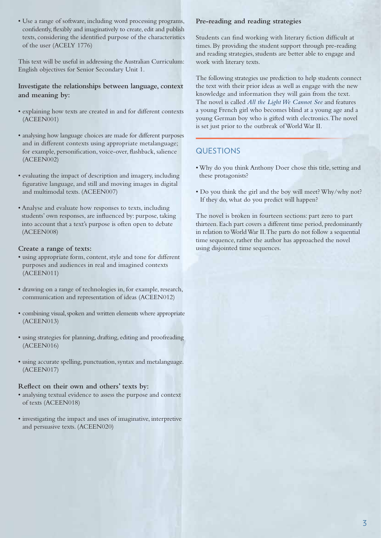• Use a range of software, including word processing programs, confidently, flexibly and imaginatively to create, edit and publish texts, considering the identified purpose of the characteristics of the user (ACELY 1776)

This text will be useful in addressing the Australian Curriculum: English objectives for Senior Secondary Unit 1.

**Investigate the relationships between language, context and meaning by:**

- explaining how texts are created in and for different contexts (ACEEN001)
- analysing how language choices are made for different purposes and in different contexts using appropriate metalanguage; for example, personification, voice-over, flashback, salience (ACEEN002)
- evaluating the impact of description and imagery, including figurative language, and still and moving images in digital and multimodal texts. (ACEEN007)
- Analyse and evaluate how responses to texts, including students' own responses, are influenced by: purpose, taking into account that a text's purpose is often open to debate (ACEEN008)

#### **Create a range of texts:**

- using appropriate form, content, style and tone for different purposes and audiences in real and imagined contexts (ACEEN011)
- drawing on a range of technologies in, for example, research, communication and representation of ideas (ACEEN012)
- combining visual, spoken and written elements where appropriate (ACEEN013)
- using strategies for planning, drafting, editing and proofreading (ACEEN016)
- using accurate spelling, punctuation, syntax and metalanguage. (ACEEN017)

#### **Reflect on their own and others' texts by:**

- analysing textual evidence to assess the purpose and context of texts (ACEEN018)
- investigating the impact and uses of imaginative, interpretive and persuasive texts. (ACEEN020)

#### **Pre-reading and reading strategies**

Students can find working with literary fiction difficult at times. By providing the student support through pre-reading and reading strategies, students are better able to engage and work with literary texts.

The following strategies use prediction to help students connect the text with their prior ideas as well as engage with the new knowledge and information they will gain from the text. The novel is called *All the Light We Cannot See* and features a young French girl who becomes blind at a young age and a young German boy who is gifted with electronics. The novel is set just prior to the outbreak of World War II.

## QUESTIONS

- Why do you think Anthony Doer chose this title, setting and these protagonists?
- Do you think the girl and the boy will meet? Why/why not? If they do, what do you predict will happen?

The novel is broken in fourteen sections: part zero to part thirteen. Each part covers a different time period, predominantly in relation to World War II. The parts do not follow a sequential time sequence, rather the author has approached the novel using disjointed time sequences.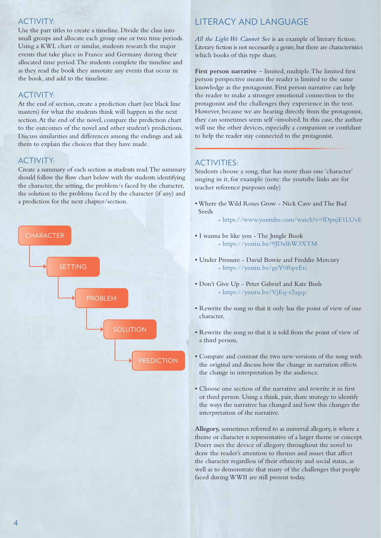## ACTIVITY:

Use the part titles to create a timeline. Divide the class into small groups and allocate each group one or two time periods. Using a KWL chart or similar, students research the major events that take place in France and Germany during their allocated time period. The students complete the timeline and as they read the book they annotate any events that occur in the book, and add to the timeline.

## ACTIVITY:

At the end of section, create a prediction chart (see black line masters) for what the students think will happen in the next section. At the end of the novel, compare the prediction chart to the outcomes of the novel and other student's predictions. Discuss similarities and differences among the endings and ask them to explain the choices that they have made.

## ACTIVITY:

Create a summary of each section as students read. The summary should follow the flow chart below with the students identifying the character, the setting, the problem/s faced by the character, the solution to the problems faced by the character (if any) and a prediction for the next chapter/section.



## LITERACY AND LANGUAGE

*All the Light We Cannot See* is an example of literary fiction. Literary fiction is not necessarily a genre, but there are characteristics which books of this type share.

**First person narrative** – limited, multiple. The limited first person perspective means the reader is limited to the same knowledge as the protagonist. First person narrative can help the reader to make a stronger emotional connection to the protagonist and the challenges they experience in the text. However, because we are hearing directly from the protagonist, they can sometimes seem self –involved. In this case, the author will use the other devices, especially a companion or confidant to help the reader stay connected to the protagonist.

## ACTIVITIES:

Students choose a song, that has more than one 'character' singing in it, for example (note: the youtube links are for teacher reference purposes only)

- Where the Wild Roses Grow Nick Cave and The Bad Seeds
	- <https://www.youtube.com/watch?v=lDpnjE1LUvE>
- I wanna be like you The Jungle Book - <https://youtu.be/9JDzlhW3XTM>
- Under Pressure David Bowie and Freddie Mercury - <https://youtu.be/geY0f6peEtc>
- Don't Give Up Peter Gabriel and Kate Bush - <https://youtu.be/VjEq-r2agqc>
- Rewrite the song so that it only has the point of view of one character,
- Rewrite the song so that it is told from the point of view of a third person,
- Compare and contrast the two new versions of the song with the original and discuss how the change in narration effects the change in interpretation by the audience.
- Choose one section of the narrative and rewrite it in first or third person. Using a think, pair, share strategy to identify the ways the narrative has changed and how this changes the interpretation of the narrative.

**Allegory,** sometimes referred to as universal allegory, is where a theme or character is representative of a larger theme or concept. Doerr uses the device of allegory throughout the novel to draw the reader's attention to themes and issues that affect the character regardless of their ethnicity and social status, as well as to demonstrate that many of the challenges that people faced during WWII are still present today.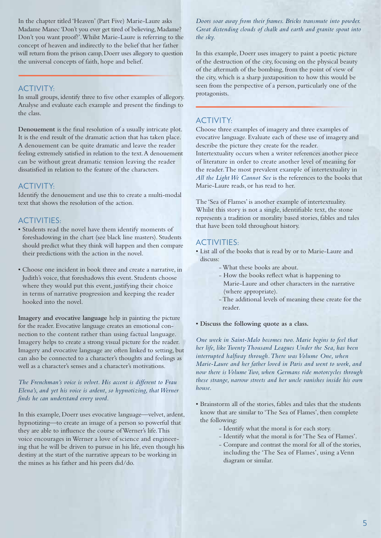In the chapter titled 'Heaven' (Part Five) Marie-Laure asks Madame Manec 'Don't you ever get tired of believing, Madame? Don't you want proof?'. Whilst Marie-Laure is referring to the concept of heaven and indirectly to the belief that her father will return from the prison camp, Doerr uses allegory to question the universal concepts of faith, hope and belief.

#### ACTIVITY:

In small groups, identify three to five other examples of allegory. Analyse and evaluate each example and present the findings to the class.

**Denouement** is the final resolution of a usually intricate plot. It is the end result of the dramatic action that has taken place. A denouement can be quite dramatic and leave the reader feeling extremely satisfied in relation to the text. A denouement can be without great dramatic tension leaving the reader dissatisfied in relation to the feature of the characters.

## ACTIVITY:

Identify the denouement and use this to create a multi-modal text that shows the resolution of the action.

## ACTIVITIES:

- Students read the novel have them identify moments of foreshadowing in the chart (see black line masters). Students should predict what they think will happen and then compare their predictions with the action in the novel.
- Choose one incident in book three and create a narrative, in Judith's voice, that foreshadows this event. Students choose where they would put this event, justifying their choice in terms of narrative progression and keeping the reader hooked into the novel.

**Imagery and evocative language** help in painting the picture for the reader. Evocative language creates an emotional connection to the content rather than using factual language. Imagery helps to create a strong visual picture for the reader. Imagery and evocative language are often linked to setting, but can also be connected to a character's thoughts and feelings as well as a character's senses and a character's motivations.

#### *The Frenchman's voice is velvet. His accent is different to Frau Elena's, and yet his voice is ardent, so hypnotizing, that Werner finds he can understand every word.*

In this example, Doerr uses evocative language—velvet, ardent, hypnotizing—to create an image of a person so powerful that they are able to influence the course of Werner's life. This voice encourages in Werner a love of science and engineering that he will be driven to pursue in his life, even though his destiny at the start of the narrative appears to be working in the mines as his father and his peers did/do.

*Doors soar away from their frames. Bricks transmute into powder. Great distending clouds of chalk and earth and granite spout into the sky.*

In this example, Doerr uses imagery to paint a poetic picture of the destruction of the city, focusing on the physical beauty of the aftermath of the bombing, from the point of view of the city, which is a sharp juxtaposition to how this would be seen from the perspective of a person, particularly one of the protagonists.

## ACTIVITY:

Choose three examples of imagery and three examples of evocative language. Evaluate each of these use of imagery and describe the picture they create for the reader.

Intertextuality occurs when a writer references another piece of literature in order to create another level of meaning for the reader. The most prevalent example of intertextuality in *All the Light We Cannot See* is the references to the books that Marie-Laure reads, or has read to her.

The 'Sea of Flames' is another example of intertextuality. Whilst this story is not a single, identifiable text, the stone represents a tradition or morality based stories, fables and tales that have been told throughout history.

## ACTIVITIES:

- List all of the books that is read by or to Marie-Laure and discuss:
	- What these books are about.
	- How the books reflect what is happening to Marie-Laure and other characters in the narrative (where appropriate).
	- The additional levels of meaning these create for the reader.
- **Discuss the following quote as a class.**

*One week in Saint-Malo becomes two. Marie begins to feel that her life, like Twenty Thousand Leagues Under the Sea, has been interrupted halfway through. There was Volume One, when Marie-Laure and her father loved in Paris and went to work, and now there is Volume Two, when Germans ride motorcycles through these strange, narrow streets and her uncle vanishes inside his own house.*

- Brainstorm all of the stories, fables and tales that the students know that are similar to 'The Sea of Flames', then complete the following:
	- Identify what the moral is for each story.
	- Identify what the moral is for 'The Sea of Flames'.
	- Compare and contrast the moral for all of the stories, including the 'The Sea of Flames', using a Venn diagram or similar.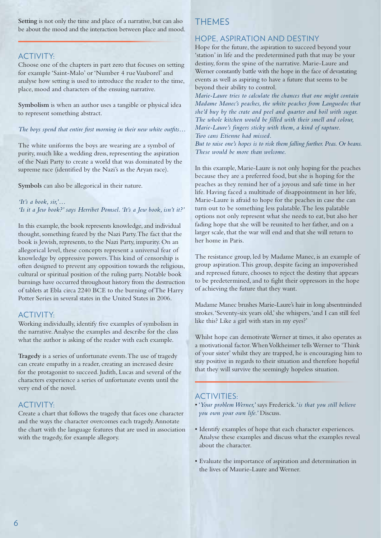<span id="page-7-0"></span>**Setting** is not only the time and place of a narrative, but can also be about the mood and the interaction between place and mood.

## ACTIVITY:

Choose one of the chapters in part zero that focuses on setting for example 'Saint-Malo' or 'Number 4 rue Vauborel' and analyse how setting is used to introduce the reader to the time, place, mood and characters of the ensuing narrative.

**Symbolism** is when an author uses a tangible or physical idea to represent something abstract.

*The boys spend that entire first morning in their new white outfits…*

The white uniforms the boys are wearing are a symbol of purity, much like a wedding dress, representing the aspiration of the Nazi Party to create a world that was dominated by the supreme race (identified by the Nazi's as the Aryan race).

**Symbols** can also be allegorical in their nature.

*'It's a book, sir,'… 'Is it a Jew book?' says Herribet Pomsel. 'It's a Jew book, isn't it?'*

In this example, the book represents knowledge, and individual thought, something feared by the Nazi Party. The fact that the book is Jewish, represents, to the Nazi Party, impurity. On an allegorical level, these concepts represent a universal fear of knowledge by oppressive powers. This kind of censorship is often designed to prevent any opposition towards the religious, cultural or spiritual position of the ruling party. Notable book burnings have occurred throughout history from the destruction of tablets at Ebla circa 2240 BCE to the burning of The Harry Potter Series in several states in the United States in 2006.

#### ACTIVITY:

Working individually, identify five examples of symbolism in the narrative. Analyse the examples and describe for the class what the author is asking of the reader with each example.

**Tragedy** is a series of unfortunate events. The use of tragedy can create empathy in a reader, creating an increased desire for the protagonist to succeed. Judith, Lucas and several of the characters experience a series of unfortunate events until the very end of the novel.

## ACTIVITY:

Create a chart that follows the tragedy that faces one character and the ways the character overcomes each tragedy. Annotate the chart with the language features that are used in association with the tragedy, for example allegory.

## THEMES

#### HOPE, ASPIRATION AND DESTINY

Hope for the future, the aspiration to succeed beyond your 'station' in life and the predetermined path that may be your destiny, form the spine of the narrative. Marie-Laure and Werner constantly battle with the hope in the face of devastating events as well as aspiring to have a future that seems to be beyond their ability to control.

*Marie-Laure tries to calculate the chances that one might contain Madame Manec's peaches, the white peaches from Languedoc that she'd buy by the crate and peel and quarter and boil with sugar. The whole kitchen would be filled with their smell and colour, Marie-Laure's fingers sticky with them, a kind of rapture. Two cans Etienne had missed.*

*But to raise one's hopes is to risk them falling further. Peas. Or beans. These would be more than welcome.*

In this example, Marie-Laure is not only hoping for the peaches because they are a preferred food, but she is hoping for the peaches as they remind her of a joyous and safe time in her life. Having faced a multitude of disappointment in her life, Marie-Laure is afraid to hope for the peaches in case the can turn out to be something less palatable. The less palatable options not only represent what she needs to eat, but also her fading hope that she will be reunited to her father, and on a larger scale, that the war will end and that she will return to her home in Paris.

The resistance group, led by Madame Manec, is an example of group aspiration. This group, despite facing an impoverished and repressed future, chooses to reject the destiny that appears to be predetermined, and to fight their oppressors in the hope of achieving the future that they want.

Madame Manec brushes Marie-Laure's hair in long absentminded strokes. 'Seventy-six years old,' she whispers, 'and I can still feel like this? Like a girl with stars in my eyes?'

Whilst hope can demotivate Werner at times, it also operates as a motivational factor. When Volkheimer tells Werner to 'Think of your sister' whilst they are trapped, he is encouraging him to stay positive in regards to their situation and therefore hopeful that they will survive the seemingly hopeless situation.

## ACTIVITIES:

- '*Your problem Werner,'* says Frederick. '*is that you still believe you own your own life.'* Discuss.
- Identify examples of hope that each character experiences. Analyse these examples and discuss what the examples reveal about the character.
- Evaluate the importance of aspiration and determination in the lives of Maurie-Laure and Werner.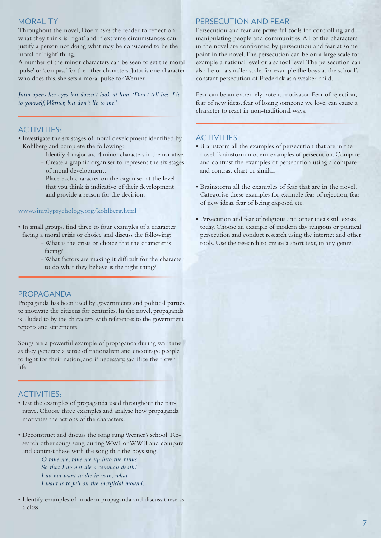### MORALITY

Throughout the novel, Doerr asks the reader to reflect on what they think is 'right' and if extreme circumstances can justify a person not doing what may be considered to be the moral or 'right' thing.

A number of the minor characters can be seen to set the moral 'pulse' or 'compass' for the other characters. Jutta is one character who does this, she sets a moral pulse for Werner.

*Jutta opens her eyes but doesn't look at him. 'Don't tell lies. Lie to yourself, Werner, but don't lie to me.'*

## ACTIVITIES:

- Investigate the six stages of moral development identified by Kohlberg and complete the following:
	- Identify 4 major and 4 minor characters in the narrative.
	- Create a graphic organiser to represent the six stages of moral development.
	- Place each character on the organiser at the level that you think is indicative of their development and provide a reason for the decision.

#### www.simplypsychology.org/kohlberg.html

- In small groups, find three to four examples of a character facing a moral crisis or choice and discuss the following:
	- What is the crisis or choice that the character is facing?
	- What factors are making it difficult for the character to do what they believe is the right thing?

#### PROPAGANDA

Propaganda has been used by governments and political parties to motivate the citizens for centuries. In the novel, propaganda is alluded to by the characters with references to the government reports and statements.

Songs are a powerful example of propaganda during war time as they generate a sense of nationalism and encourage people to fight for their nation, and if necessary, sacrifice their own life.

## ACTIVITIES:

- List the examples of propaganda used throughout the narrative. Choose three examples and analyse how propaganda motivates the actions of the characters.
- Deconstruct and discuss the song sung Werner's school. Research other songs sung during WWI or WWII and compare and contrast these with the song that the boys sing.

 *O take me, take me up into the ranks So that I do not die a common death! I do not want to die in vain, what I want is to fall on the sacrificial mound.*

• Identify examples of modern propaganda and discuss these as a class.

## PERSECUTION AND FEAR

Persecution and fear are powerful tools for controlling and manipulating people and communities. All of the characters in the novel are confronted by persecution and fear at some point in the novel. The persecution can be on a large scale for example a national level or a school level. The persecution can also be on a smaller scale, for example the boys at the school's constant persecution of Frederick as a weaker child.

Fear can be an extremely potent motivator. Fear of rejection, fear of new ideas, fear of losing someone we love, can cause a character to react in non-traditional ways.

## ACTIVITIES:

- Brainstorm all the examples of persecution that are in the novel. Brainstorm modern examples of persecution. Compare and contrast the examples of persecution using a compare and contrast chart or similar.
- Brainstorm all the examples of fear that are in the novel. Categorise these examples for example fear of rejection, fear of new ideas, fear of being exposed etc.
- Persecution and fear of religious and other ideals still exists today. Choose an example of modern day religious or political persecution and conduct research using the internet and other tools. Use the research to create a short text, in any genre.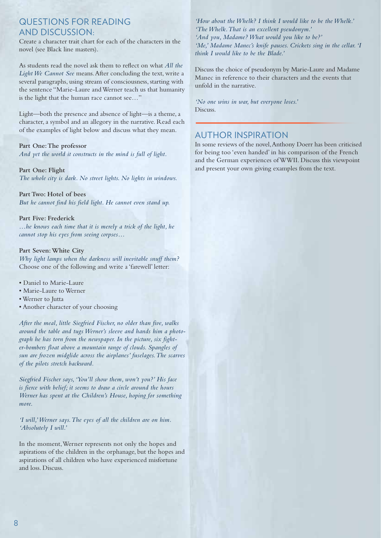## <span id="page-9-0"></span>QUESTIONS FOR READING AND DISCUSSION:

Create a character trait chart for each of the characters in the novel (see Black line masters).

As students read the novel ask them to reflect on what *All the Light We Cannot See* means. After concluding the text, write a several paragraphs, using stream of consciousness, starting with the sentence "Marie-Laure and Werner teach us that humanity is the light that the human race cannot see…"

Light—both the presence and absence of light—is a theme, a character, a symbol and an allegory in the narrative. Read each of the examples of light below and discuss what they mean.

#### **Part One: The professor**

*And yet the world it constructs in the mind is full of light.*

#### **Part One: Flight**

*The whole city is dark. No street lights. No lights in windows.*

**Part Two: Hotel of bees** *But he cannot find his field light. He cannot even stand up.*

#### **Part Five: Frederick**

*…he knows each time that it is merely a trick of the light, he cannot stop his eyes from seeing corpses…*

#### **Part Seven: White City**

*Why light lamps when the darkness will inevitable snuff them?* Choose one of the following and write a 'farewell' letter:

- Daniel to Marie-Laure
- Marie-Laure to Werner
- Werner to Jutta
- Another character of your choosing

*After the meal, little Siegfried Fischer, no older than five, walks around the table and tugs Werner's sleeve and hands him a photograph he has torn from the newspaper. In the picture, six fighter-bombers float above a mountain range of clouds. Spangles of sun are frozen midglide across the airplanes' fuselages. The scarves of the pilots stretch backward.*

*Siegfried Fischer says, 'You'll show them, won't you?' His face is fierce with belief; it seems to draw a circle around the hours Werner has spent at the Children's House, hoping for something more.*

*'I will,' Werner says. The eyes of all the children are on him. 'Absolutely I will.'*

In the moment, Werner represents not only the hopes and aspirations of the children in the orphanage, but the hopes and aspirations of all children who have experienced misfortune and loss. Discuss.

*'How about the Whelk? I think I would like to be the Whelk.' 'The Whelk. That is an excellent pseudonym.' 'And you, Madame? What would you like to be?' 'Me,' Madame Manec's knife pauses. Crickets sing in the cellar. 'I think I would like to be the Blade.'*

Discuss the choice of pseudonym by Marie-Laure and Madame Manec in reference to their characters and the events that unfold in the narrative.

*'No one wins in war, but everyone loses.'* Discuss.

## AUTHOR INSPIRATION

In some reviews of the novel, Anthony Doerr has been criticised for being too 'even handed' in his comparison of the French and the German experiences of WWII. Discuss this viewpoint and present your own giving examples from the text.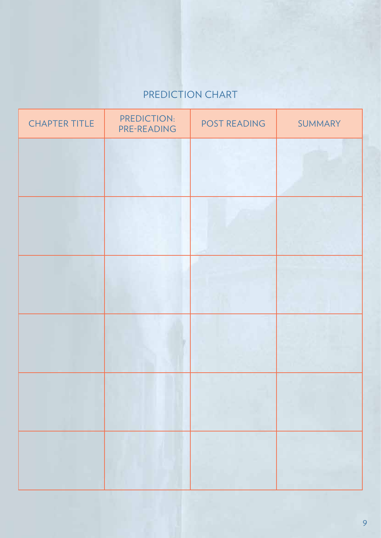# PREDICTION CHART

| <b>CHAPTER TITLE</b> | PREDICTION:<br>PRE-READING | POST READING | SUMMARY |
|----------------------|----------------------------|--------------|---------|
|                      |                            |              |         |
|                      |                            |              |         |
|                      |                            |              |         |
|                      |                            |              |         |
|                      |                            |              |         |
|                      |                            |              |         |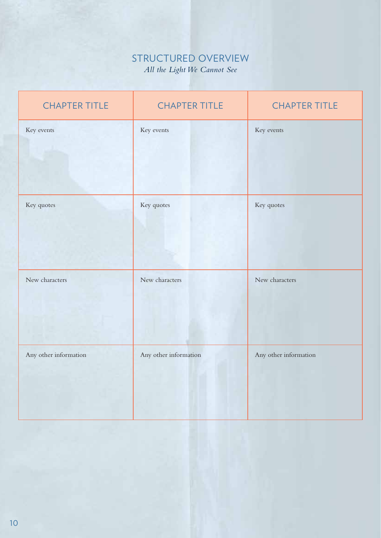## STRUCTURED OVERVIEW *All the Light We Cannot See*

| <b>CHAPTER TITLE</b>  | <b>CHAPTER TITLE</b>  | <b>CHAPTER TITLE</b>  |
|-----------------------|-----------------------|-----------------------|
| Key events            | Key events            | Key events            |
| Key quotes            | Key quotes            | Key quotes            |
| New characters        | New characters        | New characters        |
| Any other information | Any other information | Any other information |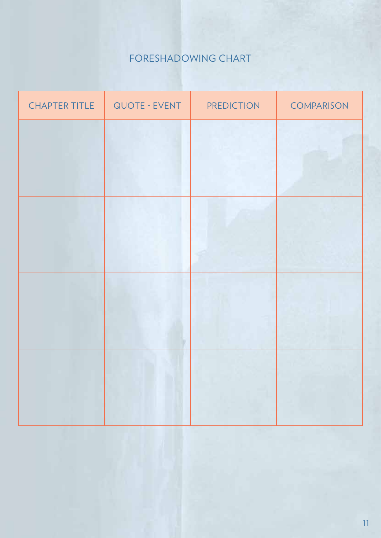# FORESHADOWING CHART

| <b>CHAPTER TITLE</b> | QUOTE - EVENT | <b>PREDICTION</b> | <b>COMPARISON</b> |
|----------------------|---------------|-------------------|-------------------|
|                      |               |                   |                   |
|                      |               |                   |                   |
|                      |               |                   |                   |
|                      |               |                   |                   |
|                      |               |                   |                   |
|                      |               |                   |                   |
|                      |               |                   |                   |
|                      |               | Ħ.                |                   |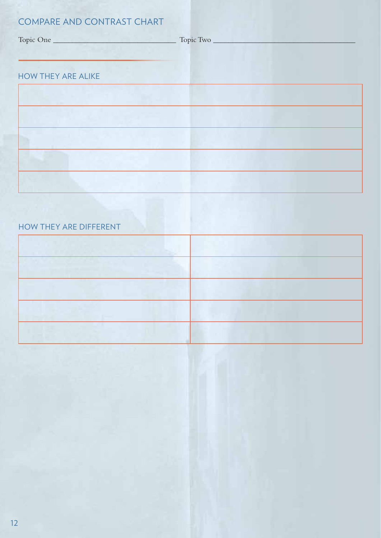## COMPARE AND CONTRAST CHART

|                           | Topic Two |
|---------------------------|-----------|
| <b>HOW THEY ARE ALIKE</b> |           |
|                           |           |
|                           |           |
|                           |           |
|                           |           |
|                           |           |

## HOW THEY ARE DIFFERENT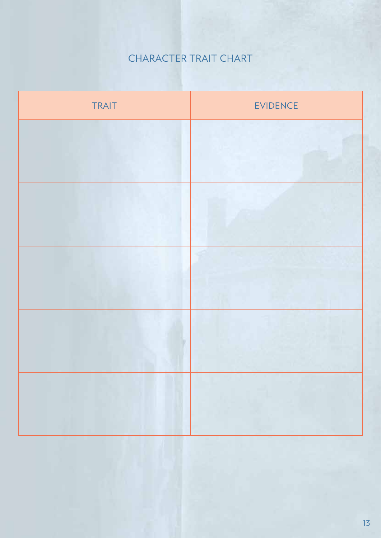# CHARACTER TRAIT CHART

| TRAIT | <b>EVIDENCE</b> |
|-------|-----------------|
|       |                 |
|       |                 |
|       |                 |
|       |                 |
|       |                 |
|       |                 |
|       |                 |
|       |                 |
|       |                 |
|       |                 |
|       |                 |